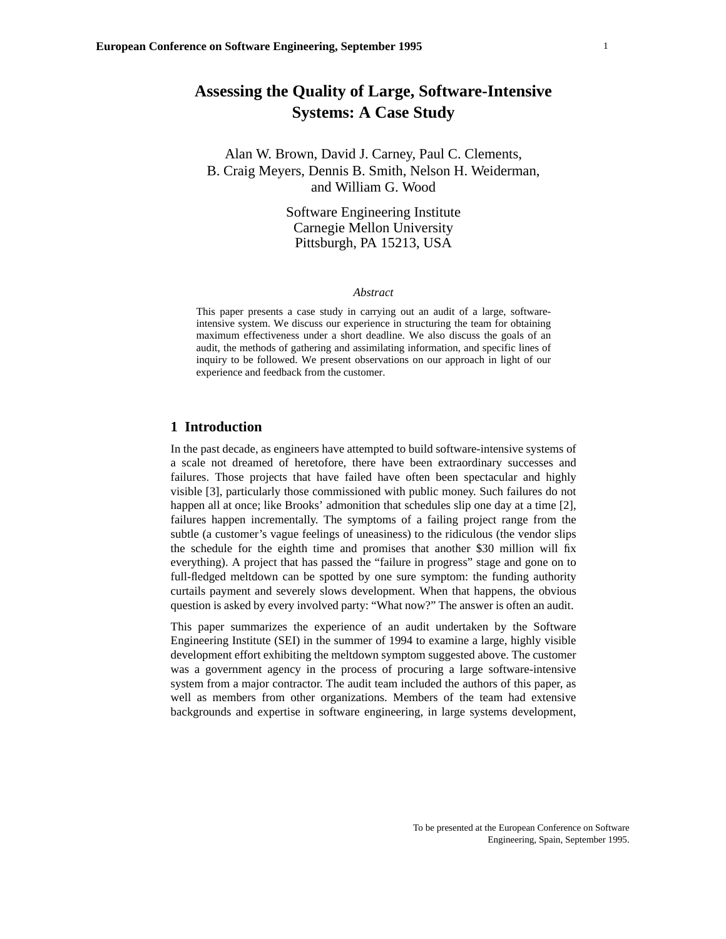# **Assessing the Quality of Large, Software-Intensive Systems: A Case Study**

# Alan W. Brown, David J. Carney, Paul C. Clements, B. Craig Meyers, Dennis B. Smith, Nelson H. Weiderman, and William G. Wood

Software Engineering Institute Carnegie Mellon University Pittsburgh, PA 15213, USA

#### *Abstract*

This paper presents a case study in carrying out an audit of a large, softwareintensive system. We discuss our experience in structuring the team for obtaining maximum effectiveness under a short deadline. We also discuss the goals of an audit, the methods of gathering and assimilating information, and specific lines of inquiry to be followed. We present observations on our approach in light of our experience and feedback from the customer.

# **1 Introduction**

In the past decade, as engineers have attempted to build software-intensive systems of a scale not dreamed of heretofore, there have been extraordinary successes and failures. Those projects that have failed have often been spectacular and highly visible [3], particularly those commissioned with public money. Such failures do not happen all at once; like Brooks' admonition that schedules slip one day at a time [2], failures happen incrementally. The symptoms of a failing project range from the subtle (a customer's vague feelings of uneasiness) to the ridiculous (the vendor slips the schedule for the eighth time and promises that another \$30 million will fix everything). A project that has passed the "failure in progress" stage and gone on to full-fledged meltdown can be spotted by one sure symptom: the funding authority curtails payment and severely slows development. When that happens, the obvious question is asked by every involved party: "What now?" The answer is often an audit.

This paper summarizes the experience of an audit undertaken by the Software Engineering Institute (SEI) in the summer of 1994 to examine a large, highly visible development effort exhibiting the meltdown symptom suggested above. The customer was a government agency in the process of procuring a large software-intensive system from a major contractor. The audit team included the authors of this paper, as well as members from other organizations. Members of the team had extensive backgrounds and expertise in software engineering, in large systems development,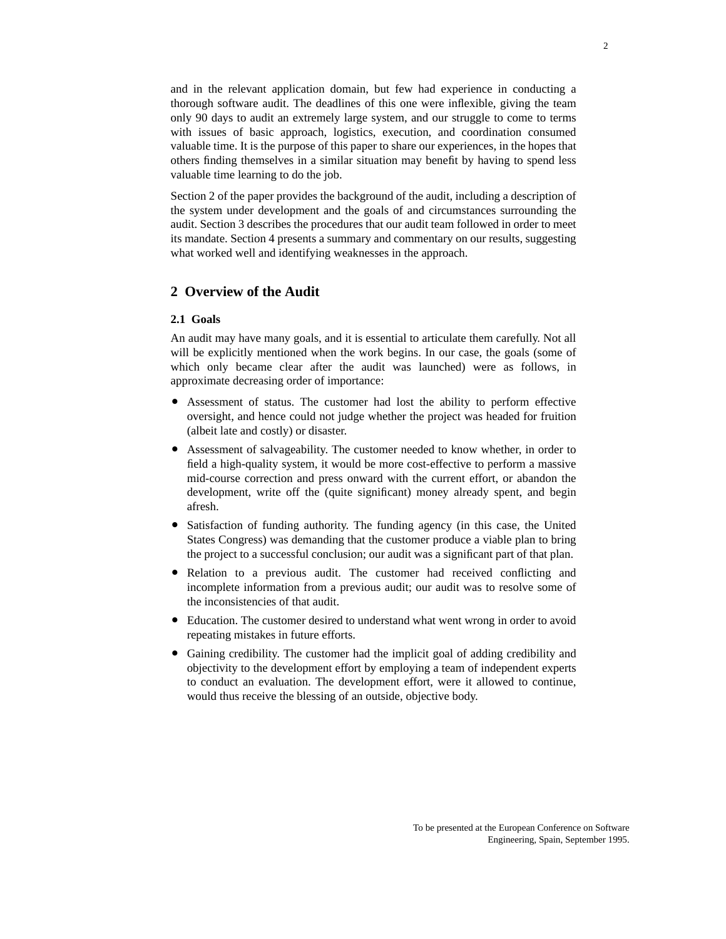and in the relevant application domain, but few had experience in conducting a thorough software audit. The deadlines of this one were inflexible, giving the team only 90 days to audit an extremely large system, and our struggle to come to terms with issues of basic approach, logistics, execution, and coordination consumed valuable time. It is the purpose of this paper to share our experiences, in the hopes that others finding themselves in a similar situation may benefit by having to spend less valuable time learning to do the job.

Section 2 of the paper provides the background of the audit, including a description of the system under development and the goals of and circumstances surrounding the audit. Section 3 describes the procedures that our audit team followed in order to meet its mandate. Section 4 presents a summary and commentary on our results, suggesting what worked well and identifying weaknesses in the approach.

# **2 Overview of the Audit**

# **2.1 Goals**

An audit may have many goals, and it is essential to articulate them carefully. Not all will be explicitly mentioned when the work begins. In our case, the goals (some of which only became clear after the audit was launched) were as follows, in approximate decreasing order of importance:

- **•** Assessment of status. The customer had lost the ability to perform effective oversight, and hence could not judge whether the project was headed for fruition (albeit late and costly) or disaster.
- **•** Assessment of salvageability. The customer needed to know whether, in order to field a high-quality system, it would be more cost-effective to perform a massive mid-course correction and press onward with the current effort, or abandon the development, write off the (quite significant) money already spent, and begin afresh.
- **•** Satisfaction of funding authority. The funding agency (in this case, the United States Congress) was demanding that the customer produce a viable plan to bring the project to a successful conclusion; our audit was a significant part of that plan.
- **•** Relation to a previous audit. The customer had received conflicting and incomplete information from a previous audit; our audit was to resolve some of the inconsistencies of that audit.
- **•** Education. The customer desired to understand what went wrong in order to avoid repeating mistakes in future efforts.
- **•** Gaining credibility. The customer had the implicit goal of adding credibility and objectivity to the development effort by employing a team of independent experts to conduct an evaluation. The development effort, were it allowed to continue, would thus receive the blessing of an outside, objective body.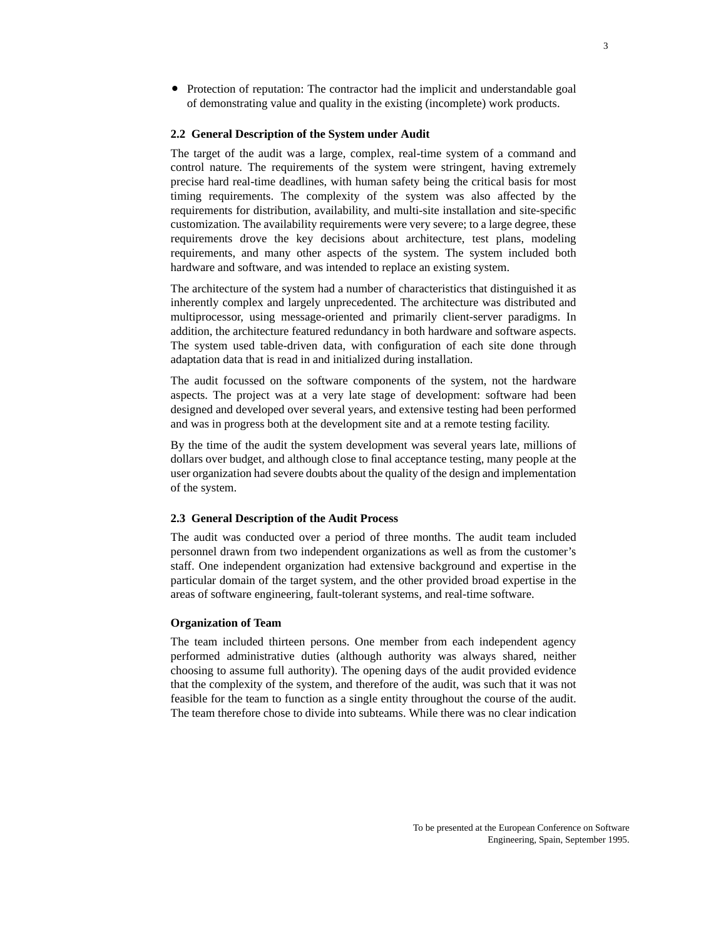**•** Protection of reputation: The contractor had the implicit and understandable goal of demonstrating value and quality in the existing (incomplete) work products.

#### **2.2 General Description of the System under Audit**

The target of the audit was a large, complex, real-time system of a command and control nature. The requirements of the system were stringent, having extremely precise hard real-time deadlines, with human safety being the critical basis for most timing requirements. The complexity of the system was also affected by the requirements for distribution, availability, and multi-site installation and site-specific customization. The availability requirements were very severe; to a large degree, these requirements drove the key decisions about architecture, test plans, modeling requirements, and many other aspects of the system. The system included both hardware and software, and was intended to replace an existing system.

The architecture of the system had a number of characteristics that distinguished it as inherently complex and largely unprecedented. The architecture was distributed and multiprocessor, using message-oriented and primarily client-server paradigms. In addition, the architecture featured redundancy in both hardware and software aspects. The system used table-driven data, with configuration of each site done through adaptation data that is read in and initialized during installation.

The audit focussed on the software components of the system, not the hardware aspects. The project was at a very late stage of development: software had been designed and developed over several years, and extensive testing had been performed and was in progress both at the development site and at a remote testing facility.

By the time of the audit the system development was several years late, millions of dollars over budget, and although close to final acceptance testing, many people at the user organization had severe doubts about the quality of the design and implementation of the system.

#### **2.3 General Description of the Audit Process**

The audit was conducted over a period of three months. The audit team included personnel drawn from two independent organizations as well as from the customer's staff. One independent organization had extensive background and expertise in the particular domain of the target system, and the other provided broad expertise in the areas of software engineering, fault-tolerant systems, and real-time software.

#### **Organization of Team**

The team included thirteen persons. One member from each independent agency performed administrative duties (although authority was always shared, neither choosing to assume full authority). The opening days of the audit provided evidence that the complexity of the system, and therefore of the audit, was such that it was not feasible for the team to function as a single entity throughout the course of the audit. The team therefore chose to divide into subteams. While there was no clear indication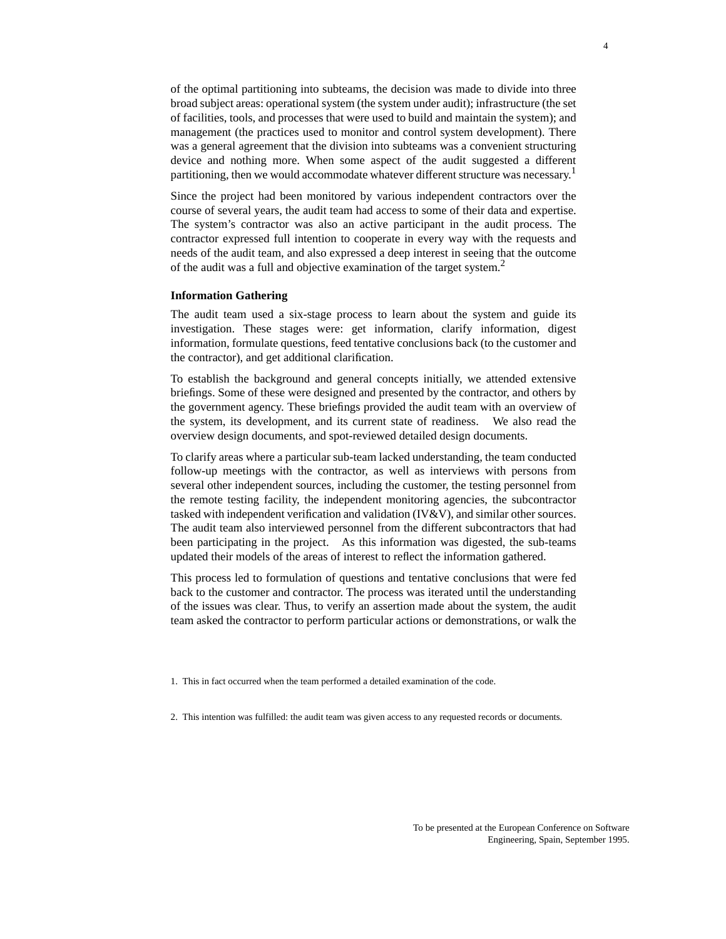of the optimal partitioning into subteams, the decision was made to divide into three broad subject areas: operational system (the system under audit); infrastructure (the set of facilities, tools, and processes that were used to build and maintain the system); and management (the practices used to monitor and control system development). There was a general agreement that the division into subteams was a convenient structuring device and nothing more. When some aspect of the audit suggested a different partitioning, then we would accommodate whatever different structure was necessary.<sup>1</sup>

Since the project had been monitored by various independent contractors over the course of several years, the audit team had access to some of their data and expertise. The system's contractor was also an active participant in the audit process. The contractor expressed full intention to cooperate in every way with the requests and needs of the audit team, and also expressed a deep interest in seeing that the outcome of the audit was a full and objective examination of the target system.<sup>2</sup>

#### **Information Gathering**

The audit team used a six-stage process to learn about the system and guide its investigation. These stages were: get information, clarify information, digest information, formulate questions, feed tentative conclusions back (to the customer and the contractor), and get additional clarification.

To establish the background and general concepts initially, we attended extensive briefings. Some of these were designed and presented by the contractor, and others by the government agency. These briefings provided the audit team with an overview of the system, its development, and its current state of readiness. We also read the overview design documents, and spot-reviewed detailed design documents.

To clarify areas where a particular sub-team lacked understanding, the team conducted follow-up meetings with the contractor, as well as interviews with persons from several other independent sources, including the customer, the testing personnel from the remote testing facility, the independent monitoring agencies, the subcontractor tasked with independent verification and validation (IV&V), and similar other sources. The audit team also interviewed personnel from the different subcontractors that had been participating in the project. As this information was digested, the sub-teams updated their models of the areas of interest to reflect the information gathered.

This process led to formulation of questions and tentative conclusions that were fed back to the customer and contractor. The process was iterated until the understanding of the issues was clear. Thus, to verify an assertion made about the system, the audit team asked the contractor to perform particular actions or demonstrations, or walk the

<sup>1.</sup> This in fact occurred when the team performed a detailed examination of the code.

<sup>2.</sup> This intention was fulfilled: the audit team was given access to any requested records or documents.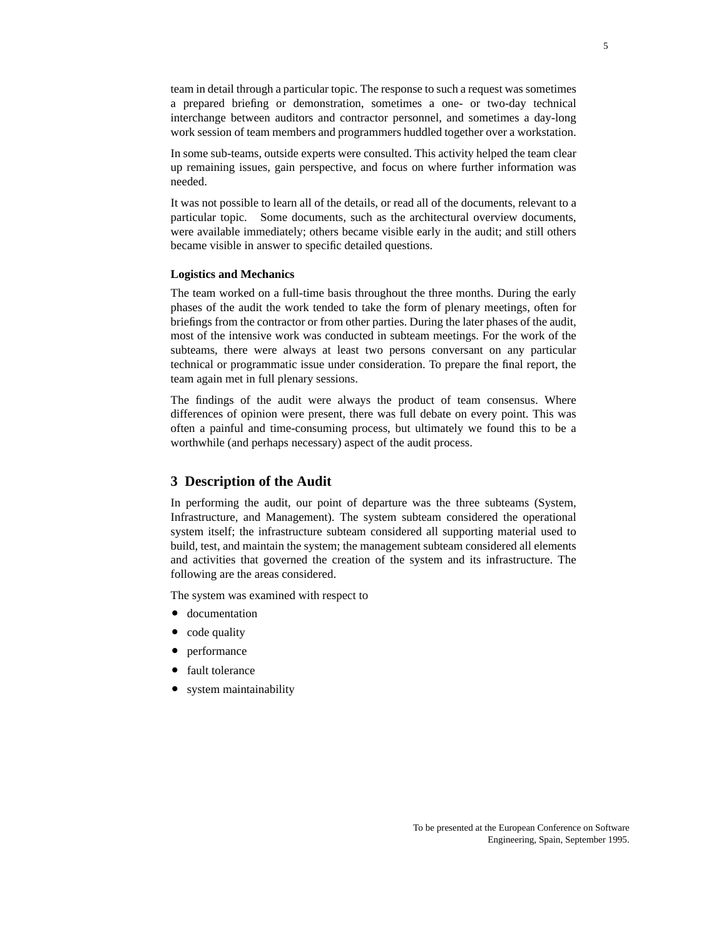team in detail through a particular topic. The response to such a request was sometimes a prepared briefing or demonstration, sometimes a one- or two-day technical interchange between auditors and contractor personnel, and sometimes a day-long work session of team members and programmers huddled together over a workstation.

In some sub-teams, outside experts were consulted. This activity helped the team clear up remaining issues, gain perspective, and focus on where further information was needed.

It was not possible to learn all of the details, or read all of the documents, relevant to a particular topic. Some documents, such as the architectural overview documents, were available immediately; others became visible early in the audit; and still others became visible in answer to specific detailed questions.

#### **Logistics and Mechanics**

The team worked on a full-time basis throughout the three months. During the early phases of the audit the work tended to take the form of plenary meetings, often for briefings from the contractor or from other parties. During the later phases of the audit, most of the intensive work was conducted in subteam meetings. For the work of the subteams, there were always at least two persons conversant on any particular technical or programmatic issue under consideration. To prepare the final report, the team again met in full plenary sessions.

The findings of the audit were always the product of team consensus. Where differences of opinion were present, there was full debate on every point. This was often a painful and time-consuming process, but ultimately we found this to be a worthwhile (and perhaps necessary) aspect of the audit process.

# **3 Description of the Audit**

In performing the audit, our point of departure was the three subteams (System, Infrastructure, and Management). The system subteam considered the operational system itself; the infrastructure subteam considered all supporting material used to build, test, and maintain the system; the management subteam considered all elements and activities that governed the creation of the system and its infrastructure. The following are the areas considered.

The system was examined with respect to

- **•** documentation
- **•** code quality
- **•** performance
- **•** fault tolerance
- **•** system maintainability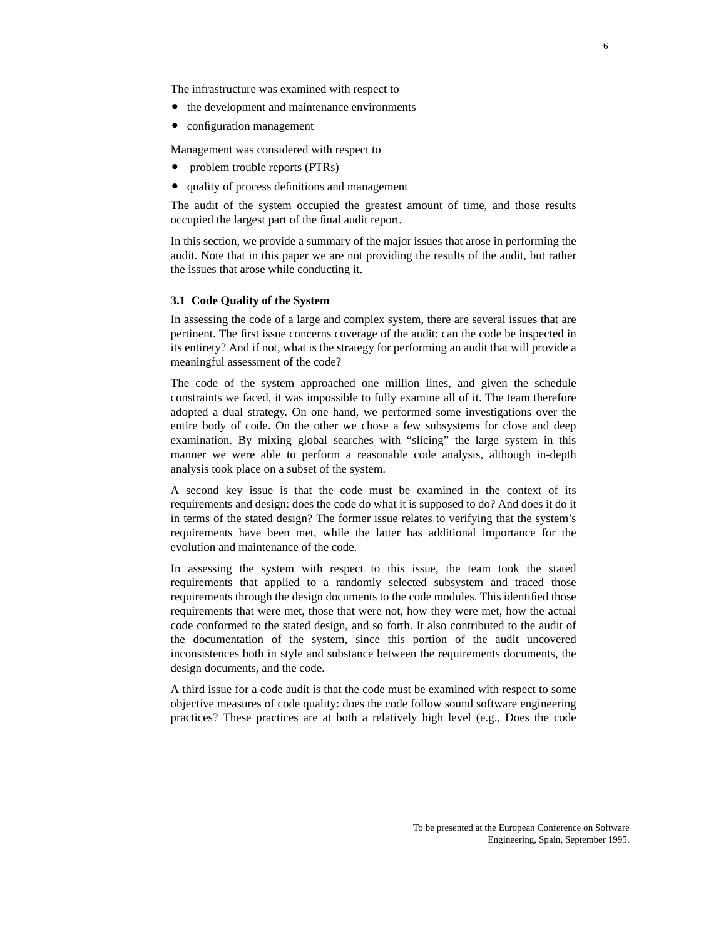The infrastructure was examined with respect to

- the development and maintenance environments
- **•** configuration management

Management was considered with respect to

- **•** problem trouble reports (PTRs)
- **•** quality of process definitions and management

The audit of the system occupied the greatest amount of time, and those results occupied the largest part of the final audit report.

In this section, we provide a summary of the major issues that arose in performing the audit. Note that in this paper we are not providing the results of the audit, but rather the issues that arose while conducting it.

#### **3.1 Code Quality of the System**

In assessing the code of a large and complex system, there are several issues that are pertinent. The first issue concerns coverage of the audit: can the code be inspected in its entirety? And if not, what is the strategy for performing an audit that will provide a meaningful assessment of the code?

The code of the system approached one million lines, and given the schedule constraints we faced, it was impossible to fully examine all of it. The team therefore adopted a dual strategy. On one hand, we performed some investigations over the entire body of code. On the other we chose a few subsystems for close and deep examination. By mixing global searches with "slicing" the large system in this manner we were able to perform a reasonable code analysis, although in-depth analysis took place on a subset of the system.

A second key issue is that the code must be examined in the context of its requirements and design: does the code do what it is supposed to do? And does it do it in terms of the stated design? The former issue relates to verifying that the system's requirements have been met, while the latter has additional importance for the evolution and maintenance of the code.

In assessing the system with respect to this issue, the team took the stated requirements that applied to a randomly selected subsystem and traced those requirements through the design documents to the code modules. This identified those requirements that were met, those that were not, how they were met, how the actual code conformed to the stated design, and so forth. It also contributed to the audit of the documentation of the system, since this portion of the audit uncovered inconsistences both in style and substance between the requirements documents, the design documents, and the code.

A third issue for a code audit is that the code must be examined with respect to some objective measures of code quality: does the code follow sound software engineering practices? These practices are at both a relatively high level (e.g., Does the code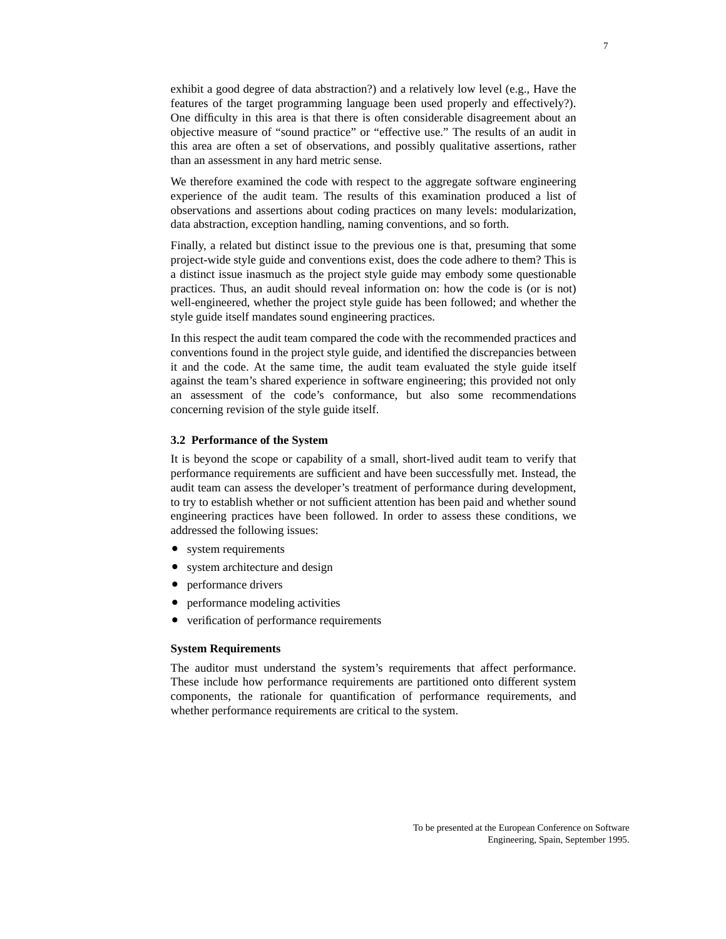exhibit a good degree of data abstraction?) and a relatively low level (e.g., Have the features of the target programming language been used properly and effectively?). One difficulty in this area is that there is often considerable disagreement about an objective measure of "sound practice" or "effective use." The results of an audit in this area are often a set of observations, and possibly qualitative assertions, rather than an assessment in any hard metric sense.

We therefore examined the code with respect to the aggregate software engineering experience of the audit team. The results of this examination produced a list of observations and assertions about coding practices on many levels: modularization, data abstraction, exception handling, naming conventions, and so forth.

Finally, a related but distinct issue to the previous one is that, presuming that some project-wide style guide and conventions exist, does the code adhere to them? This is a distinct issue inasmuch as the project style guide may embody some questionable practices. Thus, an audit should reveal information on: how the code is (or is not) well-engineered, whether the project style guide has been followed; and whether the style guide itself mandates sound engineering practices.

In this respect the audit team compared the code with the recommended practices and conventions found in the project style guide, and identified the discrepancies between it and the code. At the same time, the audit team evaluated the style guide itself against the team's shared experience in software engineering; this provided not only an assessment of the code's conformance, but also some recommendations concerning revision of the style guide itself.

#### **3.2 Performance of the System**

It is beyond the scope or capability of a small, short-lived audit team to verify that performance requirements are sufficient and have been successfully met. Instead, the audit team can assess the developer's treatment of performance during development, to try to establish whether or not sufficient attention has been paid and whether sound engineering practices have been followed. In order to assess these conditions, we addressed the following issues:

- **•** system requirements
- **•** system architecture and design
- **•** performance drivers
- **•** performance modeling activities
- **•** verification of performance requirements

#### **System Requirements**

The auditor must understand the system's requirements that affect performance. These include how performance requirements are partitioned onto different system components, the rationale for quantification of performance requirements, and whether performance requirements are critical to the system.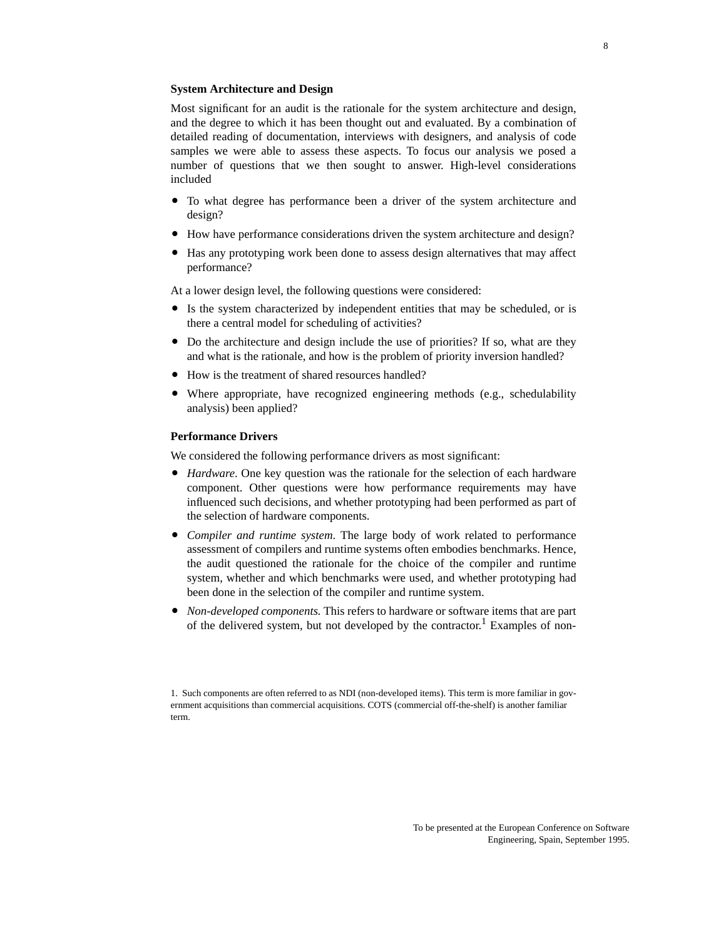#### **System Architecture and Design**

Most significant for an audit is the rationale for the system architecture and design, and the degree to which it has been thought out and evaluated. By a combination of detailed reading of documentation, interviews with designers, and analysis of code samples we were able to assess these aspects. To focus our analysis we posed a number of questions that we then sought to answer. High-level considerations included

- **•** To what degree has performance been a driver of the system architecture and design?
- How have performance considerations driven the system architecture and design?
- **•** Has any prototyping work been done to assess design alternatives that may affect performance?

At a lower design level, the following questions were considered:

- Is the system characterized by independent entities that may be scheduled, or is there a central model for scheduling of activities?
- Do the architecture and design include the use of priorities? If so, what are they and what is the rationale, and how is the problem of priority inversion handled?
- **•** How is the treatment of shared resources handled?
- Where appropriate, have recognized engineering methods (e.g., schedulability analysis) been applied?

## **Performance Drivers**

We considered the following performance drivers as most significant:

- **•** *Hardware*. One key question was the rationale for the selection of each hardware component. Other questions were how performance requirements may have influenced such decisions, and whether prototyping had been performed as part of the selection of hardware components.
- **•** *Compiler and runtime system*. The large body of work related to performance assessment of compilers and runtime systems often embodies benchmarks. Hence, the audit questioned the rationale for the choice of the compiler and runtime system, whether and which benchmarks were used, and whether prototyping had been done in the selection of the compiler and runtime system.
- **•** *Non-developed components.* This refers to hardware or software items that are part of the delivered system, but not developed by the contractor.<sup>1</sup> Examples of non-

8

<sup>1.</sup> Such components are often referred to as NDI (non-developed items). This term is more familiar in government acquisitions than commercial acquisitions. COTS (commercial off-the-shelf) is another familiar term.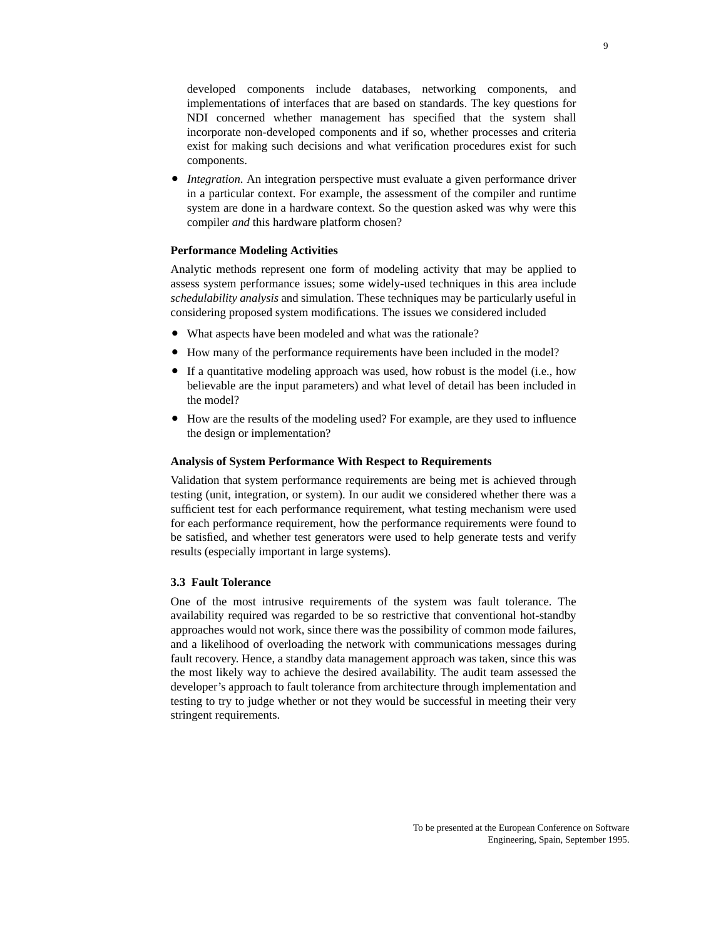developed components include databases, networking components, and implementations of interfaces that are based on standards. The key questions for NDI concerned whether management has specified that the system shall incorporate non-developed components and if so, whether processes and criteria exist for making such decisions and what verification procedures exist for such components.

**•** *Integration*. An integration perspective must evaluate a given performance driver in a particular context. For example, the assessment of the compiler and runtime system are done in a hardware context. So the question asked was why were this compiler *and* this hardware platform chosen?

#### **Performance Modeling Activities**

Analytic methods represent one form of modeling activity that may be applied to assess system performance issues; some widely-used techniques in this area include *schedulability analysis* and simulation. These techniques may be particularly useful in considering proposed system modifications. The issues we considered included

- **•** What aspects have been modeled and what was the rationale?
- **•** How many of the performance requirements have been included in the model?
- **•** If a quantitative modeling approach was used, how robust is the model (i.e., how believable are the input parameters) and what level of detail has been included in the model?
- How are the results of the modeling used? For example, are they used to influence the design or implementation?

#### **Analysis of System Performance With Respect to Requirements**

Validation that system performance requirements are being met is achieved through testing (unit, integration, or system). In our audit we considered whether there was a sufficient test for each performance requirement, what testing mechanism were used for each performance requirement, how the performance requirements were found to be satisfied, and whether test generators were used to help generate tests and verify results (especially important in large systems).

### **3.3 Fault Tolerance**

One of the most intrusive requirements of the system was fault tolerance. The availability required was regarded to be so restrictive that conventional hot-standby approaches would not work, since there was the possibility of common mode failures, and a likelihood of overloading the network with communications messages during fault recovery. Hence, a standby data management approach was taken, since this was the most likely way to achieve the desired availability. The audit team assessed the developer's approach to fault tolerance from architecture through implementation and testing to try to judge whether or not they would be successful in meeting their very stringent requirements.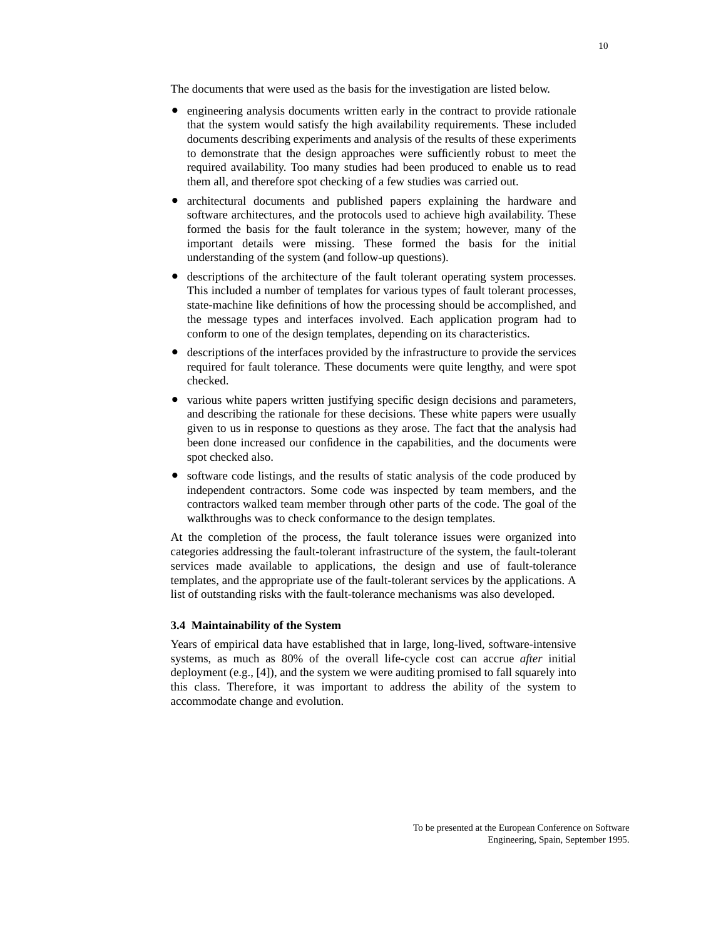The documents that were used as the basis for the investigation are listed below.

- engineering analysis documents written early in the contract to provide rationale that the system would satisfy the high availability requirements. These included documents describing experiments and analysis of the results of these experiments to demonstrate that the design approaches were sufficiently robust to meet the required availability. Too many studies had been produced to enable us to read them all, and therefore spot checking of a few studies was carried out.
- **•** architectural documents and published papers explaining the hardware and software architectures, and the protocols used to achieve high availability. These formed the basis for the fault tolerance in the system; however, many of the important details were missing. These formed the basis for the initial understanding of the system (and follow-up questions).
- **•** descriptions of the architecture of the fault tolerant operating system processes. This included a number of templates for various types of fault tolerant processes, state-machine like definitions of how the processing should be accomplished, and the message types and interfaces involved. Each application program had to conform to one of the design templates, depending on its characteristics.
- **•** descriptions of the interfaces provided by the infrastructure to provide the services required for fault tolerance. These documents were quite lengthy, and were spot checked.
- various white papers written justifying specific design decisions and parameters, and describing the rationale for these decisions. These white papers were usually given to us in response to questions as they arose. The fact that the analysis had been done increased our confidence in the capabilities, and the documents were spot checked also.
- **•** software code listings, and the results of static analysis of the code produced by independent contractors. Some code was inspected by team members, and the contractors walked team member through other parts of the code. The goal of the walkthroughs was to check conformance to the design templates.

At the completion of the process, the fault tolerance issues were organized into categories addressing the fault-tolerant infrastructure of the system, the fault-tolerant services made available to applications, the design and use of fault-tolerance templates, and the appropriate use of the fault-tolerant services by the applications. A list of outstanding risks with the fault-tolerance mechanisms was also developed.

#### **3.4 Maintainability of the System**

Years of empirical data have established that in large, long-lived, software-intensive systems, as much as 80% of the overall life-cycle cost can accrue *after* initial deployment (e.g., [4]), and the system we were auditing promised to fall squarely into this class. Therefore, it was important to address the ability of the system to accommodate change and evolution.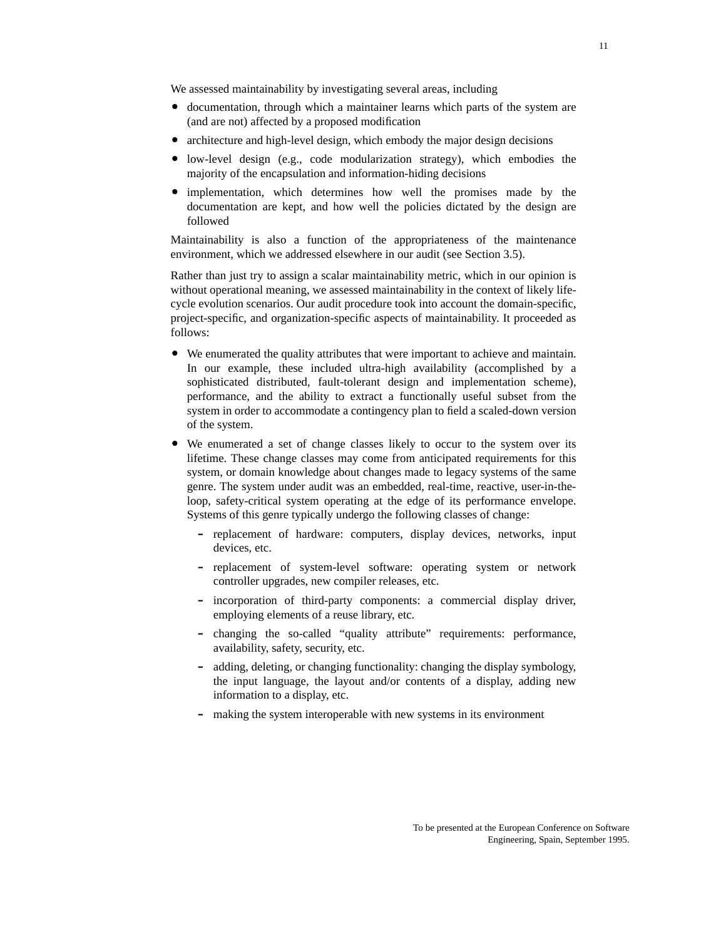We assessed maintainability by investigating several areas, including

- **•** documentation, through which a maintainer learns which parts of the system are (and are not) affected by a proposed modification
- architecture and high-level design, which embody the major design decisions
- **•** low-level design (e.g., code modularization strategy), which embodies the majority of the encapsulation and information-hiding decisions
- **•** implementation, which determines how well the promises made by the documentation are kept, and how well the policies dictated by the design are followed

Maintainability is also a function of the appropriateness of the maintenance environment, which we addressed elsewhere in our audit (see Section 3.5).

Rather than just try to assign a scalar maintainability metric, which in our opinion is without operational meaning, we assessed maintainability in the context of likely lifecycle evolution scenarios. Our audit procedure took into account the domain-specific, project-specific, and organization-specific aspects of maintainability. It proceeded as follows:

- **•** We enumerated the quality attributes that were important to achieve and maintain. In our example, these included ultra-high availability (accomplished by a sophisticated distributed, fault-tolerant design and implementation scheme), performance, and the ability to extract a functionally useful subset from the system in order to accommodate a contingency plan to field a scaled-down version of the system.
- We enumerated a set of change classes likely to occur to the system over its lifetime. These change classes may come from anticipated requirements for this system, or domain knowledge about changes made to legacy systems of the same genre. The system under audit was an embedded, real-time, reactive, user-in-theloop, safety-critical system operating at the edge of its performance envelope. Systems of this genre typically undergo the following classes of change:
	- **-** replacement of hardware: computers, display devices, networks, input devices, etc.
	- **-** replacement of system-level software: operating system or network controller upgrades, new compiler releases, etc.
	- **-** incorporation of third-party components: a commercial display driver, employing elements of a reuse library, etc.
	- **-** changing the so-called "quality attribute" requirements: performance, availability, safety, security, etc.
	- **-** adding, deleting, or changing functionality: changing the display symbology, the input language, the layout and/or contents of a display, adding new information to a display, etc.
	- **-** making the system interoperable with new systems in its environment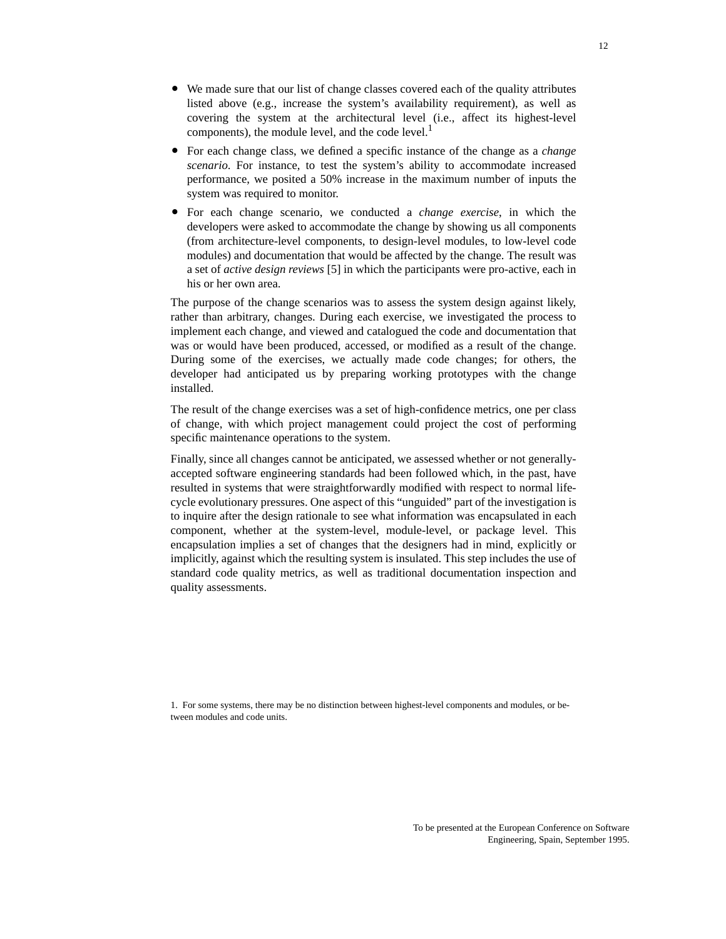- **•** We made sure that our list of change classes covered each of the quality attributes listed above (e.g., increase the system's availability requirement), as well as covering the system at the architectural level (i.e., affect its highest-level components), the module level, and the code level. $<sup>1</sup>$ </sup>
- **•** For each change class, we defined a specific instance of the change as a *change scenario*. For instance, to test the system's ability to accommodate increased performance, we posited a 50% increase in the maximum number of inputs the system was required to monitor.
- **•** For each change scenario, we conducted a *change exercise*, in which the developers were asked to accommodate the change by showing us all components (from architecture-level components, to design-level modules, to low-level code modules) and documentation that would be affected by the change. The result was a set of *active design reviews* [5] in which the participants were pro-active, each in his or her own area.

The purpose of the change scenarios was to assess the system design against likely, rather than arbitrary, changes. During each exercise, we investigated the process to implement each change, and viewed and catalogued the code and documentation that was or would have been produced, accessed, or modified as a result of the change. During some of the exercises, we actually made code changes; for others, the developer had anticipated us by preparing working prototypes with the change installed.

The result of the change exercises was a set of high-confidence metrics, one per class of change, with which project management could project the cost of performing specific maintenance operations to the system.

Finally, since all changes cannot be anticipated, we assessed whether or not generallyaccepted software engineering standards had been followed which, in the past, have resulted in systems that were straightforwardly modified with respect to normal lifecycle evolutionary pressures. One aspect of this "unguided" part of the investigation is to inquire after the design rationale to see what information was encapsulated in each component, whether at the system-level, module-level, or package level. This encapsulation implies a set of changes that the designers had in mind, explicitly or implicitly, against which the resulting system is insulated. This step includes the use of standard code quality metrics, as well as traditional documentation inspection and quality assessments.

1. For some systems, there may be no distinction between highest-level components and modules, or between modules and code units.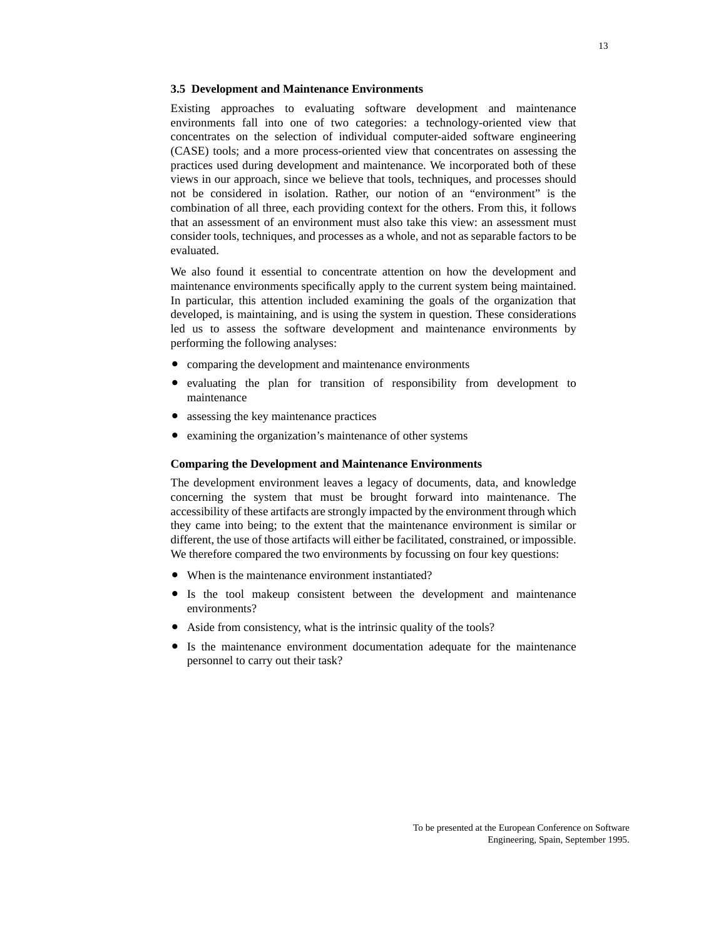#### **3.5 Development and Maintenance Environments**

Existing approaches to evaluating software development and maintenance environments fall into one of two categories: a technology-oriented view that concentrates on the selection of individual computer-aided software engineering (CASE) tools; and a more process-oriented view that concentrates on assessing the practices used during development and maintenance. We incorporated both of these views in our approach, since we believe that tools, techniques, and processes should not be considered in isolation. Rather, our notion of an "environment" is the combination of all three, each providing context for the others. From this, it follows that an assessment of an environment must also take this view: an assessment must consider tools, techniques, and processes as a whole, and not as separable factors to be evaluated.

We also found it essential to concentrate attention on how the development and maintenance environments specifically apply to the current system being maintained. In particular, this attention included examining the goals of the organization that developed, is maintaining, and is using the system in question. These considerations led us to assess the software development and maintenance environments by performing the following analyses:

- **•** comparing the development and maintenance environments
- **•** evaluating the plan for transition of responsibility from development to maintenance
- **•** assessing the key maintenance practices
- **•** examining the organization's maintenance of other systems

#### **Comparing the Development and Maintenance Environments**

The development environment leaves a legacy of documents, data, and knowledge concerning the system that must be brought forward into maintenance. The accessibility of these artifacts are strongly impacted by the environment through which they came into being; to the extent that the maintenance environment is similar or different, the use of those artifacts will either be facilitated, constrained, or impossible. We therefore compared the two environments by focussing on four key questions:

- **•** When is the maintenance environment instantiated?
- **•** Is the tool makeup consistent between the development and maintenance environments?
- Aside from consistency, what is the intrinsic quality of the tools?
- **•** Is the maintenance environment documentation adequate for the maintenance personnel to carry out their task?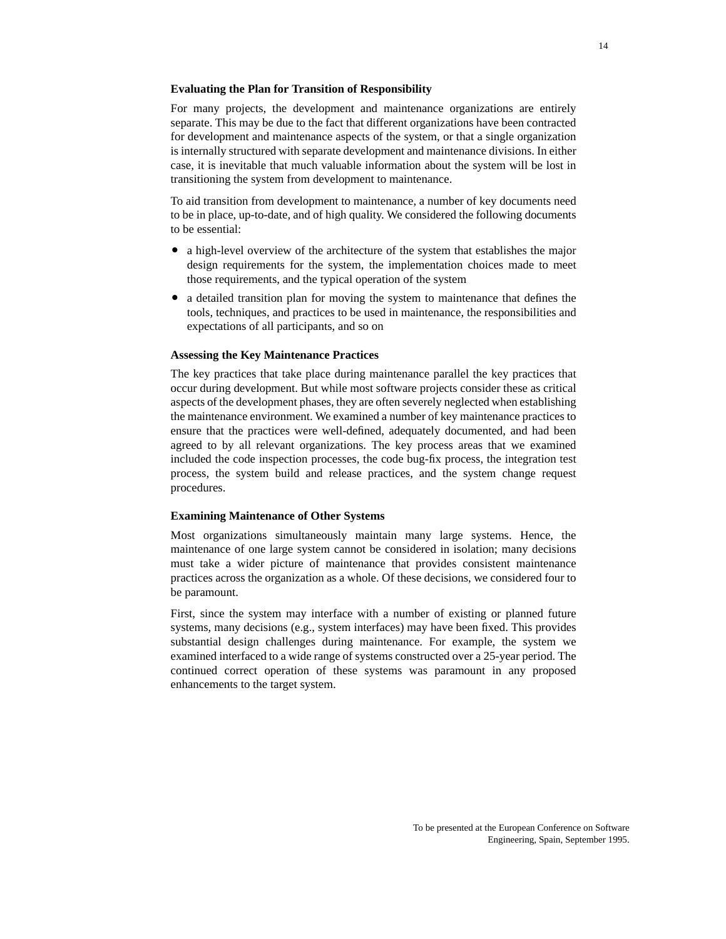#### **Evaluating the Plan for Transition of Responsibility**

For many projects, the development and maintenance organizations are entirely separate. This may be due to the fact that different organizations have been contracted for development and maintenance aspects of the system, or that a single organization is internally structured with separate development and maintenance divisions. In either case, it is inevitable that much valuable information about the system will be lost in transitioning the system from development to maintenance.

To aid transition from development to maintenance, a number of key documents need to be in place, up-to-date, and of high quality. We considered the following documents to be essential:

- a high-level overview of the architecture of the system that establishes the major design requirements for the system, the implementation choices made to meet those requirements, and the typical operation of the system
- **•** a detailed transition plan for moving the system to maintenance that defines the tools, techniques, and practices to be used in maintenance, the responsibilities and expectations of all participants, and so on

#### **Assessing the Key Maintenance Practices**

The key practices that take place during maintenance parallel the key practices that occur during development. But while most software projects consider these as critical aspects of the development phases, they are often severely neglected when establishing the maintenance environment. We examined a number of key maintenance practices to ensure that the practices were well-defined, adequately documented, and had been agreed to by all relevant organizations. The key process areas that we examined included the code inspection processes, the code bug-fix process, the integration test process, the system build and release practices, and the system change request procedures.

#### **Examining Maintenance of Other Systems**

Most organizations simultaneously maintain many large systems. Hence, the maintenance of one large system cannot be considered in isolation; many decisions must take a wider picture of maintenance that provides consistent maintenance practices across the organization as a whole. Of these decisions, we considered four to be paramount.

First, since the system may interface with a number of existing or planned future systems, many decisions (e.g., system interfaces) may have been fixed. This provides substantial design challenges during maintenance. For example, the system we examined interfaced to a wide range of systems constructed over a 25-year period. The continued correct operation of these systems was paramount in any proposed enhancements to the target system.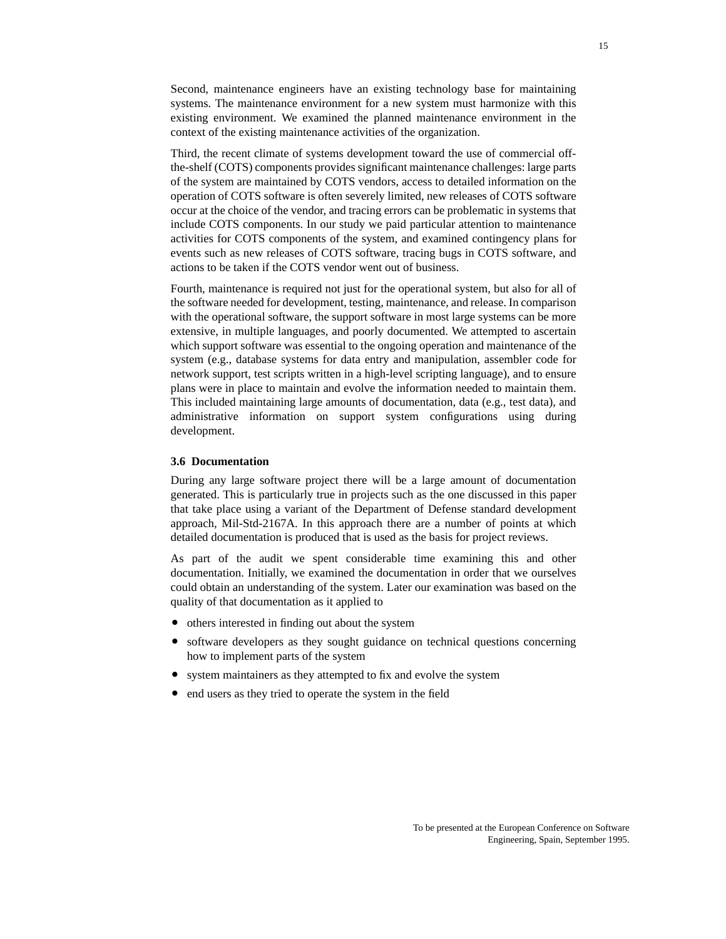Second, maintenance engineers have an existing technology base for maintaining systems. The maintenance environment for a new system must harmonize with this existing environment. We examined the planned maintenance environment in the context of the existing maintenance activities of the organization.

Third, the recent climate of systems development toward the use of commercial offthe-shelf (COTS) components provides significant maintenance challenges: large parts of the system are maintained by COTS vendors, access to detailed information on the operation of COTS software is often severely limited, new releases of COTS software occur at the choice of the vendor, and tracing errors can be problematic in systems that include COTS components. In our study we paid particular attention to maintenance activities for COTS components of the system, and examined contingency plans for events such as new releases of COTS software, tracing bugs in COTS software, and actions to be taken if the COTS vendor went out of business.

Fourth, maintenance is required not just for the operational system, but also for all of the software needed for development, testing, maintenance, and release. In comparison with the operational software, the support software in most large systems can be more extensive, in multiple languages, and poorly documented. We attempted to ascertain which support software was essential to the ongoing operation and maintenance of the system (e.g., database systems for data entry and manipulation, assembler code for network support, test scripts written in a high-level scripting language), and to ensure plans were in place to maintain and evolve the information needed to maintain them. This included maintaining large amounts of documentation, data (e.g., test data), and administrative information on support system configurations using during development.

#### **3.6 Documentation**

During any large software project there will be a large amount of documentation generated. This is particularly true in projects such as the one discussed in this paper that take place using a variant of the Department of Defense standard development approach, Mil-Std-2167A. In this approach there are a number of points at which detailed documentation is produced that is used as the basis for project reviews.

As part of the audit we spent considerable time examining this and other documentation. Initially, we examined the documentation in order that we ourselves could obtain an understanding of the system. Later our examination was based on the quality of that documentation as it applied to

- others interested in finding out about the system
- **•** software developers as they sought guidance on technical questions concerning how to implement parts of the system
- **•** system maintainers as they attempted to fix and evolve the system
- end users as they tried to operate the system in the field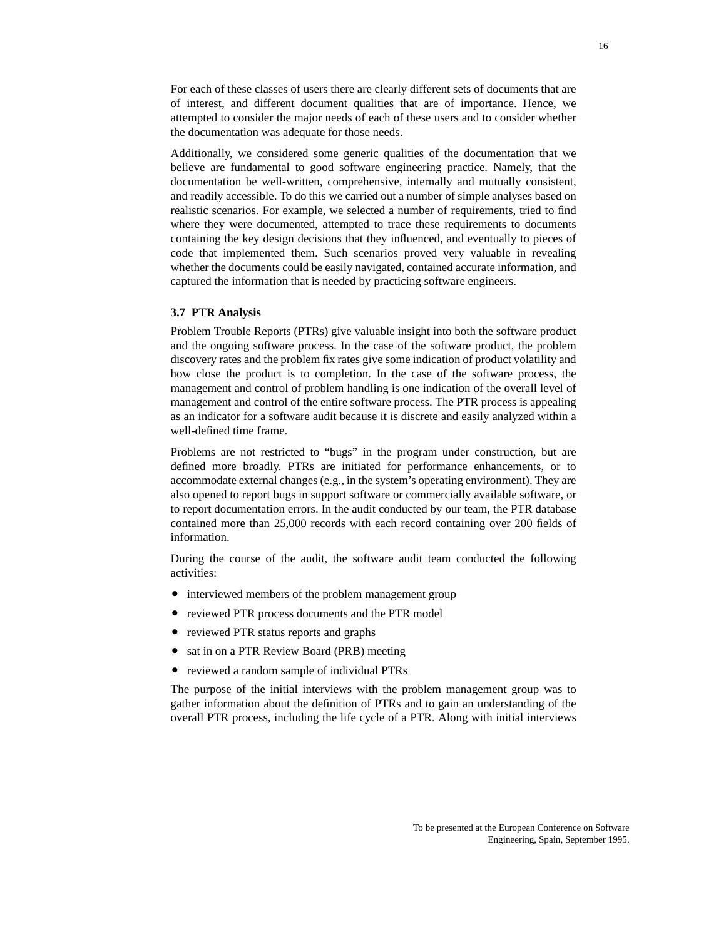For each of these classes of users there are clearly different sets of documents that are of interest, and different document qualities that are of importance. Hence, we attempted to consider the major needs of each of these users and to consider whether the documentation was adequate for those needs.

Additionally, we considered some generic qualities of the documentation that we believe are fundamental to good software engineering practice. Namely, that the documentation be well-written, comprehensive, internally and mutually consistent, and readily accessible. To do this we carried out a number of simple analyses based on realistic scenarios. For example, we selected a number of requirements, tried to find where they were documented, attempted to trace these requirements to documents containing the key design decisions that they influenced, and eventually to pieces of code that implemented them. Such scenarios proved very valuable in revealing whether the documents could be easily navigated, contained accurate information, and captured the information that is needed by practicing software engineers.

#### **3.7 PTR Analysis**

Problem Trouble Reports (PTRs) give valuable insight into both the software product and the ongoing software process. In the case of the software product, the problem discovery rates and the problem fix rates give some indication of product volatility and how close the product is to completion. In the case of the software process, the management and control of problem handling is one indication of the overall level of management and control of the entire software process. The PTR process is appealing as an indicator for a software audit because it is discrete and easily analyzed within a well-defined time frame.

Problems are not restricted to "bugs" in the program under construction, but are defined more broadly. PTRs are initiated for performance enhancements, or to accommodate external changes (e.g., in the system's operating environment). They are also opened to report bugs in support software or commercially available software, or to report documentation errors. In the audit conducted by our team, the PTR database contained more than 25,000 records with each record containing over 200 fields of information.

During the course of the audit, the software audit team conducted the following activities:

- interviewed members of the problem management group
- **•** reviewed PTR process documents and the PTR model
- **•** reviewed PTR status reports and graphs
- **•** sat in on a PTR Review Board (PRB) meeting
- **•** reviewed a random sample of individual PTRs

The purpose of the initial interviews with the problem management group was to gather information about the definition of PTRs and to gain an understanding of the overall PTR process, including the life cycle of a PTR. Along with initial interviews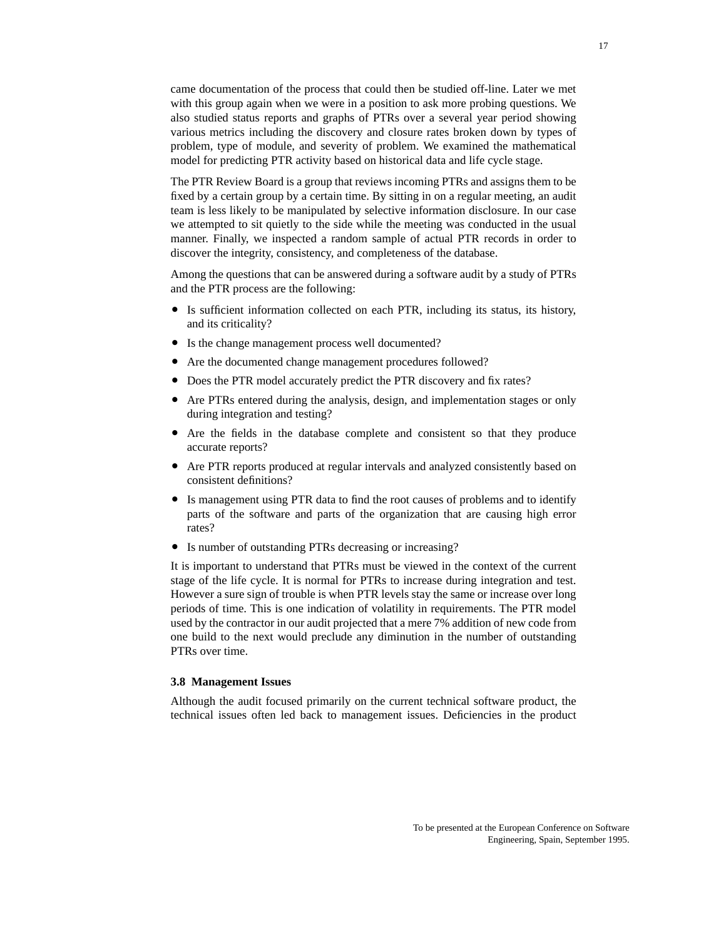came documentation of the process that could then be studied off-line. Later we met with this group again when we were in a position to ask more probing questions. We also studied status reports and graphs of PTRs over a several year period showing various metrics including the discovery and closure rates broken down by types of problem, type of module, and severity of problem. We examined the mathematical model for predicting PTR activity based on historical data and life cycle stage.

The PTR Review Board is a group that reviews incoming PTRs and assigns them to be fixed by a certain group by a certain time. By sitting in on a regular meeting, an audit team is less likely to be manipulated by selective information disclosure. In our case we attempted to sit quietly to the side while the meeting was conducted in the usual manner. Finally, we inspected a random sample of actual PTR records in order to discover the integrity, consistency, and completeness of the database.

Among the questions that can be answered during a software audit by a study of PTRs and the PTR process are the following:

- Is sufficient information collected on each PTR, including its status, its history, and its criticality?
- **•** Is the change management process well documented?
- Are the documented change management procedures followed?
- Does the PTR model accurately predict the PTR discovery and fix rates?
- **•** Are PTRs entered during the analysis, design, and implementation stages or only during integration and testing?
- Are the fields in the database complete and consistent so that they produce accurate reports?
- Are PTR reports produced at regular intervals and analyzed consistently based on consistent definitions?
- **•** Is management using PTR data to find the root causes of problems and to identify parts of the software and parts of the organization that are causing high error rates?
- **•** Is number of outstanding PTRs decreasing or increasing?

It is important to understand that PTRs must be viewed in the context of the current stage of the life cycle. It is normal for PTRs to increase during integration and test. However a sure sign of trouble is when PTR levels stay the same or increase over long periods of time. This is one indication of volatility in requirements. The PTR model used by the contractor in our audit projected that a mere 7% addition of new code from one build to the next would preclude any diminution in the number of outstanding PTRs over time.

#### **3.8 Management Issues**

Although the audit focused primarily on the current technical software product, the technical issues often led back to management issues. Deficiencies in the product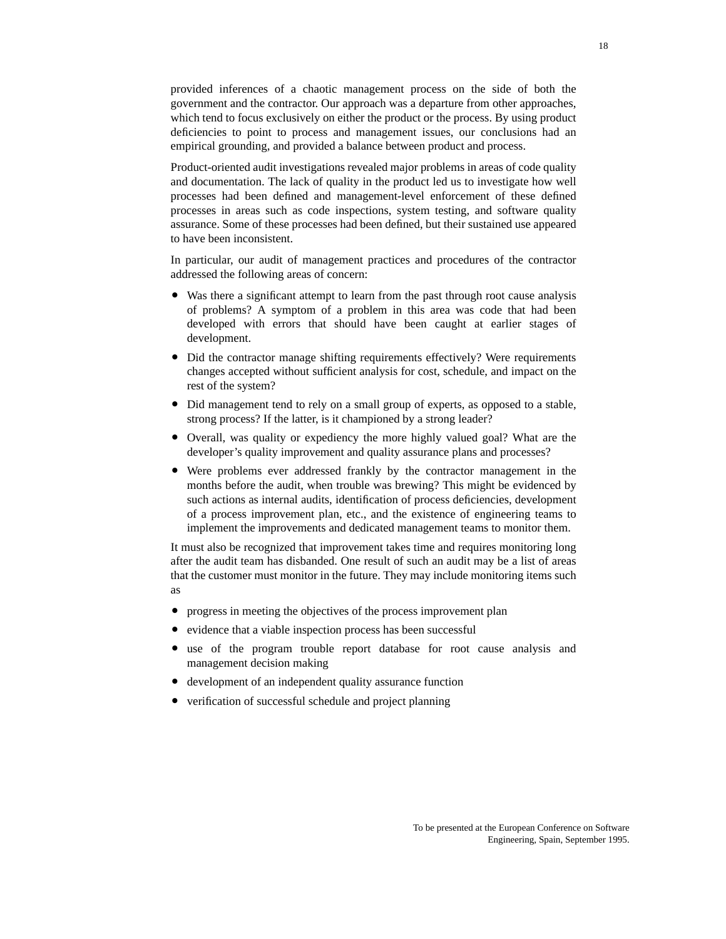provided inferences of a chaotic management process on the side of both the government and the contractor. Our approach was a departure from other approaches, which tend to focus exclusively on either the product or the process. By using product deficiencies to point to process and management issues, our conclusions had an empirical grounding, and provided a balance between product and process.

Product-oriented audit investigations revealed major problems in areas of code quality and documentation. The lack of quality in the product led us to investigate how well processes had been defined and management-level enforcement of these defined processes in areas such as code inspections, system testing, and software quality assurance. Some of these processes had been defined, but their sustained use appeared to have been inconsistent.

In particular, our audit of management practices and procedures of the contractor addressed the following areas of concern:

- **•** Was there a significant attempt to learn from the past through root cause analysis of problems? A symptom of a problem in this area was code that had been developed with errors that should have been caught at earlier stages of development.
- **•** Did the contractor manage shifting requirements effectively? Were requirements changes accepted without sufficient analysis for cost, schedule, and impact on the rest of the system?
- **•** Did management tend to rely on a small group of experts, as opposed to a stable, strong process? If the latter, is it championed by a strong leader?
- **•** Overall, was quality or expediency the more highly valued goal? What are the developer's quality improvement and quality assurance plans and processes?
- **•** Were problems ever addressed frankly by the contractor management in the months before the audit, when trouble was brewing? This might be evidenced by such actions as internal audits, identification of process deficiencies, development of a process improvement plan, etc., and the existence of engineering teams to implement the improvements and dedicated management teams to monitor them.

It must also be recognized that improvement takes time and requires monitoring long after the audit team has disbanded. One result of such an audit may be a list of areas that the customer must monitor in the future. They may include monitoring items such as

- **•** progress in meeting the objectives of the process improvement plan
- **•** evidence that a viable inspection process has been successful
- **•** use of the program trouble report database for root cause analysis and management decision making
- **•** development of an independent quality assurance function
- **•** verification of successful schedule and project planning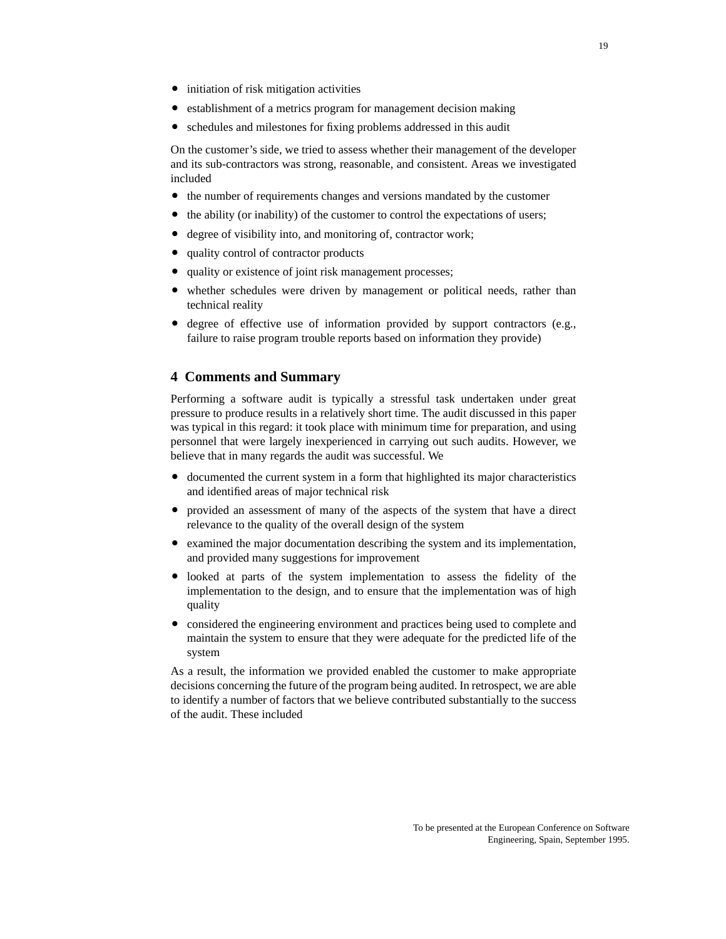- initiation of risk mitigation activities
- **•** establishment of a metrics program for management decision making
- **•** schedules and milestones for fixing problems addressed in this audit

On the customer's side, we tried to assess whether their management of the developer and its sub-contractors was strong, reasonable, and consistent. Areas we investigated included

- **•** the number of requirements changes and versions mandated by the customer
- **•** the ability (or inability) of the customer to control the expectations of users;
- **•** degree of visibility into, and monitoring of, contractor work;
- **•** quality control of contractor products
- quality or existence of joint risk management processes;
- whether schedules were driven by management or political needs, rather than technical reality
- **•** degree of effective use of information provided by support contractors (e.g., failure to raise program trouble reports based on information they provide)

### **4 Comments and Summary**

Performing a software audit is typically a stressful task undertaken under great pressure to produce results in a relatively short time. The audit discussed in this paper was typical in this regard: it took place with minimum time for preparation, and using personnel that were largely inexperienced in carrying out such audits. However, we believe that in many regards the audit was successful. We

- documented the current system in a form that highlighted its major characteristics and identified areas of major technical risk
- provided an assessment of many of the aspects of the system that have a direct relevance to the quality of the overall design of the system
- **•** examined the major documentation describing the system and its implementation, and provided many suggestions for improvement
- **•** looked at parts of the system implementation to assess the fidelity of the implementation to the design, and to ensure that the implementation was of high quality
- **•** considered the engineering environment and practices being used to complete and maintain the system to ensure that they were adequate for the predicted life of the system

As a result, the information we provided enabled the customer to make appropriate decisions concerning the future of the program being audited. In retrospect, we are able to identify a number of factors that we believe contributed substantially to the success of the audit. These included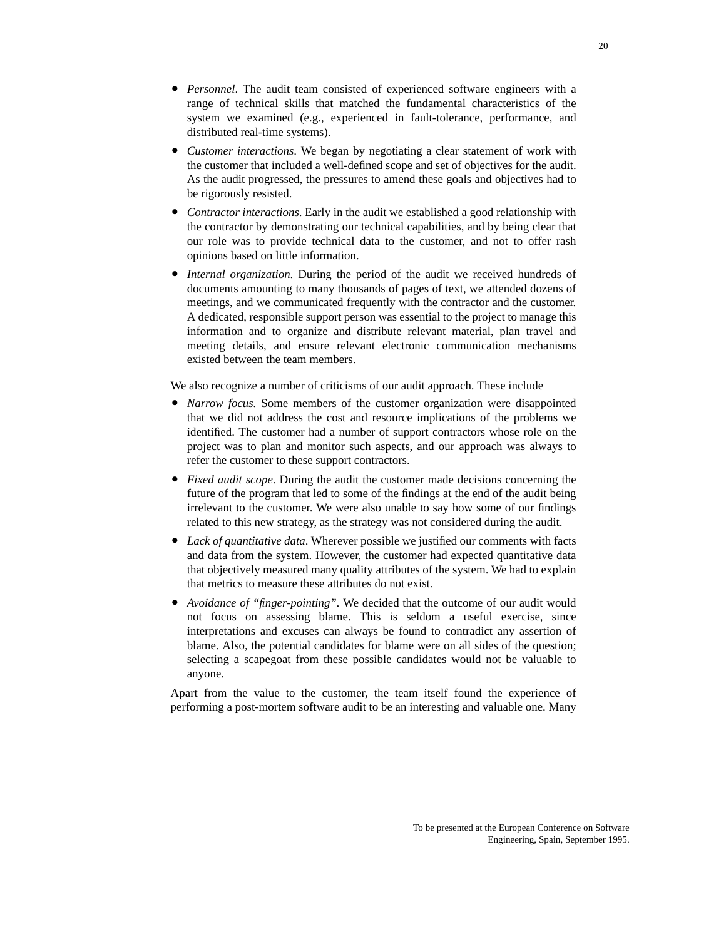- **•** *Personnel*. The audit team consisted of experienced software engineers with a range of technical skills that matched the fundamental characteristics of the system we examined (e.g., experienced in fault-tolerance, performance, and distributed real-time systems).
- **•** *Customer interactions*. We began by negotiating a clear statement of work with the customer that included a well-defined scope and set of objectives for the audit. As the audit progressed, the pressures to amend these goals and objectives had to be rigorously resisted.
- **•** *Contractor interactions*. Early in the audit we established a good relationship with the contractor by demonstrating our technical capabilities, and by being clear that our role was to provide technical data to the customer, and not to offer rash opinions based on little information.
- **•** *Internal organization*. During the period of the audit we received hundreds of documents amounting to many thousands of pages of text, we attended dozens of meetings, and we communicated frequently with the contractor and the customer. A dedicated, responsible support person was essential to the project to manage this information and to organize and distribute relevant material, plan travel and meeting details, and ensure relevant electronic communication mechanisms existed between the team members.

We also recognize a number of criticisms of our audit approach. These include

- **•** *Narrow focus.* Some members of the customer organization were disappointed that we did not address the cost and resource implications of the problems we identified. The customer had a number of support contractors whose role on the project was to plan and monitor such aspects, and our approach was always to refer the customer to these support contractors.
- **•** *Fixed audit scope*. During the audit the customer made decisions concerning the future of the program that led to some of the findings at the end of the audit being irrelevant to the customer. We were also unable to say how some of our findings related to this new strategy, as the strategy was not considered during the audit.
- **•** *Lack of quantitative data*. Wherever possible we justified our comments with facts and data from the system. However, the customer had expected quantitative data that objectively measured many quality attributes of the system. We had to explain that metrics to measure these attributes do not exist.
- **•** *Avoidance of "finger-pointing".* We decided that the outcome of our audit would not focus on assessing blame. This is seldom a useful exercise, since interpretations and excuses can always be found to contradict any assertion of blame. Also, the potential candidates for blame were on all sides of the question; selecting a scapegoat from these possible candidates would not be valuable to anyone.

Apart from the value to the customer, the team itself found the experience of performing a post-mortem software audit to be an interesting and valuable one. Many